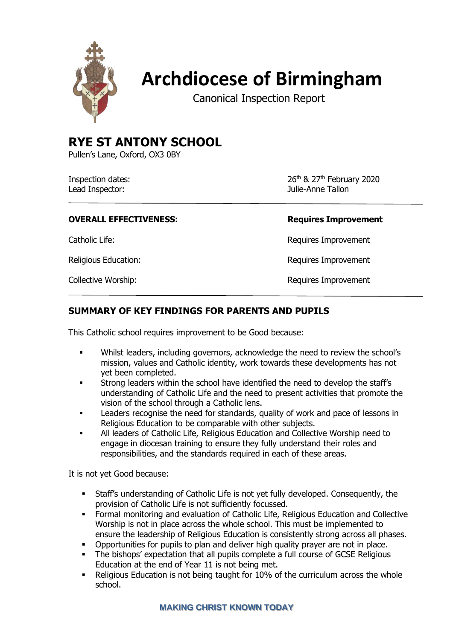

# **Archdiocese of Birmingham**

Canonical Inspection Report

# **RYE ST ANTONY SCHOOL**

Pullen's Lane, Oxford, OX3 0BY

| Inspection dates: |  |
|-------------------|--|
| Lead Inspector:   |  |

26th & 27th February 2020 Julie-Anne Tallon

# **OVERALL EFFECTIVENESS:**

Catholic Life:

Religious Education:

Collective Worship: The Collective Worship: The Collective Worship: The Requires Improvement

| <b>Requires Improvement</b> |
|-----------------------------|
| Requires Improvement        |
| Requires Improvement        |
| Doguiros Improvament        |

# **SUMMARY OF KEY FINDINGS FOR PARENTS AND PUPILS**

This Catholic school requires improvement to be Good because:

- Whilst leaders, including governors, acknowledge the need to review the school's mission, values and Catholic identity, work towards these developments has not yet been completed.
- Strong leaders within the school have identified the need to develop the staff's understanding of Catholic Life and the need to present activities that promote the vision of the school through a Catholic lens.
- **EXEC** Leaders recognise the need for standards, quality of work and pace of lessons in Religious Education to be comparable with other subjects.
- All leaders of Catholic Life, Religious Education and Collective Worship need to engage in diocesan training to ensure they fully understand their roles and responsibilities, and the standards required in each of these areas.

It is not yet Good because:

- Staff's understanding of Catholic Life is not yet fully developed. Consequently, the provision of Catholic Life is not sufficiently focussed.
- **Formal monitoring and evaluation of Catholic Life, Religious Education and Collective** Worship is not in place across the whole school. This must be implemented to ensure the leadership of Religious Education is consistently strong across all phases.
- Opportunities for pupils to plan and deliver high quality prayer are not in place.
- **The bishops' expectation that all pupils complete a full course of GCSE Religious** Education at the end of Year 11 is not being met.
- Religious Education is not being taught for 10% of the curriculum across the whole school.

# **MAKING CHRIST KNOWN TODAY**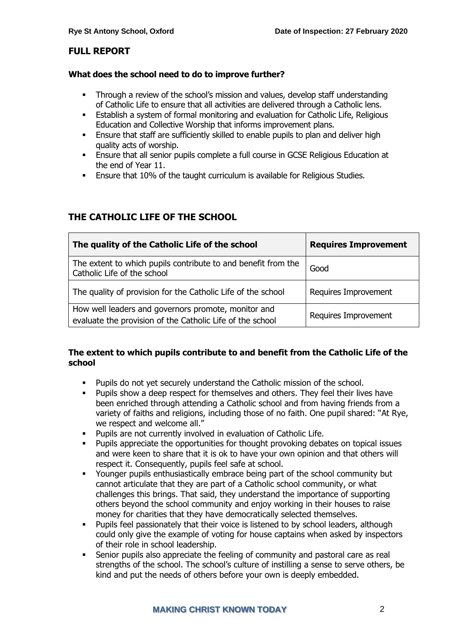# **FULL REPORT**

### **What does the school need to do to improve further?**

- **•** Through a review of the school's mission and values, develop staff understanding of Catholic Life to ensure that all activities are delivered through a Catholic lens.
- **•** Establish a system of formal monitoring and evaluation for Catholic Life, Religious Education and Collective Worship that informs improvement plans.
- **Ensure that staff are sufficiently skilled to enable pupils to plan and deliver high** quality acts of worship.
- Ensure that all senior pupils complete a full course in GCSE Religious Education at the end of Year 11.
- Ensure that 10% of the taught curriculum is available for Religious Studies.

# **THE CATHOLIC LIFE OF THE SCHOOL**

| The quality of the Catholic Life of the school                                                                   | <b>Requires Improvement</b> |
|------------------------------------------------------------------------------------------------------------------|-----------------------------|
| The extent to which pupils contribute to and benefit from the<br>Catholic Life of the school                     | Good                        |
| The quality of provision for the Catholic Life of the school                                                     | Requires Improvement        |
| How well leaders and governors promote, monitor and<br>evaluate the provision of the Catholic Life of the school | Requires Improvement        |

# **The extent to which pupils contribute to and benefit from the Catholic Life of the school**

- Pupils do not yet securely understand the Catholic mission of the school.
- Pupils show a deep respect for themselves and others. They feel their lives have been enriched through attending a Catholic school and from having friends from a variety of faiths and religions, including those of no faith. One pupil shared: "At Rye, we respect and welcome all."
- Pupils are not currently involved in evaluation of Catholic Life.
- Pupils appreciate the opportunities for thought provoking debates on topical issues and were keen to share that it is ok to have your own opinion and that others will respect it. Consequently, pupils feel safe at school.
- Younger pupils enthusiastically embrace being part of the school community but cannot articulate that they are part of a Catholic school community, or what challenges this brings. That said, they understand the importance of supporting others beyond the school community and enjoy working in their houses to raise money for charities that they have democratically selected themselves.
- Pupils feel passionately that their voice is listened to by school leaders, although could only give the example of voting for house captains when asked by inspectors of their role in school leadership.
- Senior pupils also appreciate the feeling of community and pastoral care as real strengths of the school. The school's culture of instilling a sense to serve others, be kind and put the needs of others before your own is deeply embedded.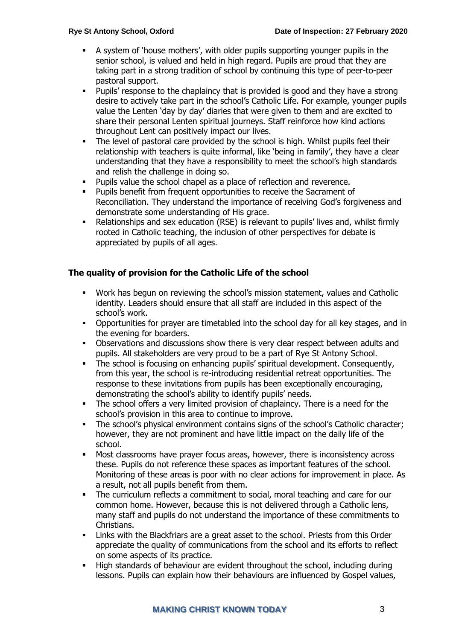- A system of 'house mothers', with older pupils supporting younger pupils in the senior school, is valued and held in high regard. Pupils are proud that they are taking part in a strong tradition of school by continuing this type of peer-to-peer pastoral support.
- Pupils' response to the chaplaincy that is provided is good and they have a strong desire to actively take part in the school's Catholic Life. For example, younger pupils value the Lenten 'day by day' diaries that were given to them and are excited to share their personal Lenten spiritual journeys. Staff reinforce how kind actions throughout Lent can positively impact our lives.
- **•** The level of pastoral care provided by the school is high. Whilst pupils feel their relationship with teachers is quite informal, like 'being in family', they have a clear understanding that they have a responsibility to meet the school's high standards and relish the challenge in doing so.
- Pupils value the school chapel as a place of reflection and reverence.
- Pupils benefit from frequent opportunities to receive the Sacrament of Reconciliation. They understand the importance of receiving God's forgiveness and demonstrate some understanding of His grace.
- Relationships and sex education (RSE) is relevant to pupils' lives and, whilst firmly rooted in Catholic teaching, the inclusion of other perspectives for debate is appreciated by pupils of all ages.

# **The quality of provision for the Catholic Life of the school**

- Work has begun on reviewing the school's mission statement, values and Catholic identity. Leaders should ensure that all staff are included in this aspect of the school's work.
- Opportunities for prayer are timetabled into the school day for all key stages, and in the evening for boarders.
- Observations and discussions show there is very clear respect between adults and pupils. All stakeholders are very proud to be a part of Rye St Antony School.
- The school is focusing on enhancing pupils' spiritual development. Consequently, from this year, the school is re-introducing residential retreat opportunities. The response to these invitations from pupils has been exceptionally encouraging, demonstrating the school's ability to identify pupils' needs.
- **•** The school offers a very limited provision of chaplaincy. There is a need for the school's provision in this area to continue to improve.
- The school's physical environment contains signs of the school's Catholic character; however, they are not prominent and have little impact on the daily life of the school.
- Most classrooms have prayer focus areas, however, there is inconsistency across these. Pupils do not reference these spaces as important features of the school. Monitoring of these areas is poor with no clear actions for improvement in place. As a result, not all pupils benefit from them.
- The curriculum reflects a commitment to social, moral teaching and care for our common home. However, because this is not delivered through a Catholic lens, many staff and pupils do not understand the importance of these commitments to Christians.
- Links with the Blackfriars are a great asset to the school. Priests from this Order appreciate the quality of communications from the school and its efforts to reflect on some aspects of its practice.
- High standards of behaviour are evident throughout the school, including during lessons. Pupils can explain how their behaviours are influenced by Gospel values,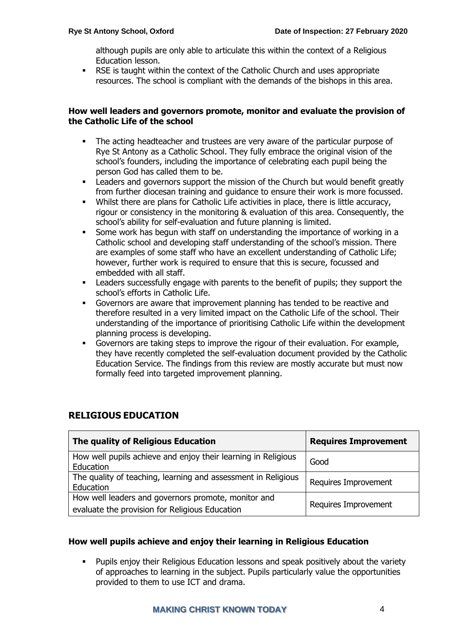although pupils are only able to articulate this within the context of a Religious Education lesson.

RSE is taught within the context of the Catholic Church and uses appropriate resources. The school is compliant with the demands of the bishops in this area.

# **How well leaders and governors promote, monitor and evaluate the provision of the Catholic Life of the school**

- The acting headteacher and trustees are very aware of the particular purpose of Rye St Antony as a Catholic School. They fully embrace the original vision of the school's founders, including the importance of celebrating each pupil being the person God has called them to be.
- Leaders and governors support the mission of the Church but would benefit greatly from further diocesan training and guidance to ensure their work is more focussed.
- Whilst there are plans for Catholic Life activities in place, there is little accuracy, rigour or consistency in the monitoring & evaluation of this area. Consequently, the school's ability for self-evaluation and future planning is limited.
- **EXECT** Some work has begun with staff on understanding the importance of working in a Catholic school and developing staff understanding of the school's mission. There are examples of some staff who have an excellent understanding of Catholic Life; however, further work is required to ensure that this is secure, focussed and embedded with all staff.
- Leaders successfully engage with parents to the benefit of pupils; they support the school's efforts in Catholic Life.
- Governors are aware that improvement planning has tended to be reactive and therefore resulted in a very limited impact on the Catholic Life of the school. Their understanding of the importance of prioritising Catholic Life within the development planning process is developing.
- Governors are taking steps to improve the rigour of their evaluation. For example, they have recently completed the self-evaluation document provided by the Catholic Education Service. The findings from this review are mostly accurate but must now formally feed into targeted improvement planning.

| The quality of Religious Education                                                                    | <b>Requires Improvement</b> |
|-------------------------------------------------------------------------------------------------------|-----------------------------|
| How well pupils achieve and enjoy their learning in Religious<br>Education                            | Good                        |
| The quality of teaching, learning and assessment in Religious<br>Education                            | Requires Improvement        |
| How well leaders and governors promote, monitor and<br>evaluate the provision for Religious Education | Requires Improvement        |

# **RELIGIOUS EDUCATION**

### **How well pupils achieve and enjoy their learning in Religious Education**

Pupils enjoy their Religious Education lessons and speak positively about the variety of approaches to learning in the subject. Pupils particularly value the opportunities provided to them to use ICT and drama.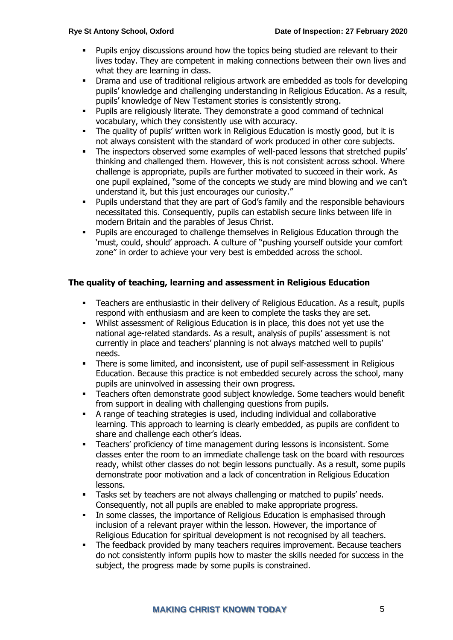- Pupils enjoy discussions around how the topics being studied are relevant to their lives today. They are competent in making connections between their own lives and what they are learning in class.
- Drama and use of traditional religious artwork are embedded as tools for developing pupils' knowledge and challenging understanding in Religious Education. As a result, pupils' knowledge of New Testament stories is consistently strong.
- Pupils are religiously literate. They demonstrate a good command of technical vocabulary, which they consistently use with accuracy.
- The quality of pupils' written work in Religious Education is mostly good, but it is not always consistent with the standard of work produced in other core subjects.
- **•** The inspectors observed some examples of well-paced lessons that stretched pupils' thinking and challenged them. However, this is not consistent across school. Where challenge is appropriate, pupils are further motivated to succeed in their work. As one pupil explained, "some of the concepts we study are mind blowing and we can't understand it, but this just encourages our curiosity."
- Pupils understand that they are part of God's family and the responsible behaviours necessitated this. Consequently, pupils can establish secure links between life in modern Britain and the parables of Jesus Christ.
- Pupils are encouraged to challenge themselves in Religious Education through the 'must, could, should' approach. A culture of "pushing yourself outside your comfort zone" in order to achieve your very best is embedded across the school.

### **The quality of teaching, learning and assessment in Religious Education**

- Teachers are enthusiastic in their delivery of Religious Education. As a result, pupils respond with enthusiasm and are keen to complete the tasks they are set.
- Whilst assessment of Religious Education is in place, this does not yet use the national age-related standards. As a result, analysis of pupils' assessment is not currently in place and teachers' planning is not always matched well to pupils' needs.
- **•** There is some limited, and inconsistent, use of pupil self-assessment in Religious Education. Because this practice is not embedded securely across the school, many pupils are uninvolved in assessing their own progress.
- Teachers often demonstrate good subject knowledge. Some teachers would benefit from support in dealing with challenging questions from pupils.
- A range of teaching strategies is used, including individual and collaborative learning. This approach to learning is clearly embedded, as pupils are confident to share and challenge each other's ideas.
- Teachers' proficiency of time management during lessons is inconsistent. Some classes enter the room to an immediate challenge task on the board with resources ready, whilst other classes do not begin lessons punctually. As a result, some pupils demonstrate poor motivation and a lack of concentration in Religious Education lessons.
- Tasks set by teachers are not always challenging or matched to pupils' needs. Consequently, not all pupils are enabled to make appropriate progress.
- **•** In some classes, the importance of Religious Education is emphasised through inclusion of a relevant prayer within the lesson. However, the importance of Religious Education for spiritual development is not recognised by all teachers.
- The feedback provided by many teachers requires improvement. Because teachers do not consistently inform pupils how to master the skills needed for success in the subject, the progress made by some pupils is constrained.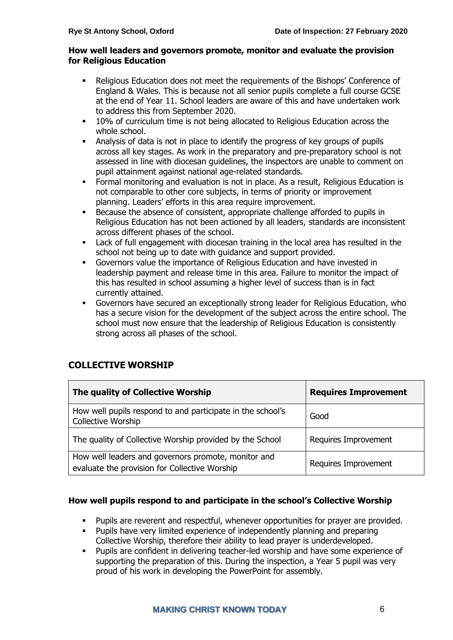# **How well leaders and governors promote, monitor and evaluate the provision for Religious Education**

- Religious Education does not meet the requirements of the Bishops' Conference of England & Wales. This is because not all senior pupils complete a full course GCSE at the end of Year 11. School leaders are aware of this and have undertaken work to address this from September 2020.
- 10% of curriculum time is not being allocated to Religious Education across the whole school.
- Analysis of data is not in place to identify the progress of key groups of pupils across all key stages. As work in the preparatory and pre-preparatory school is not assessed in line with diocesan guidelines, the inspectors are unable to comment on pupil attainment against national age-related standards.
- Formal monitoring and evaluation is not in place. As a result, Religious Education is not comparable to other core subjects, in terms of priority or improvement planning. Leaders' efforts in this area require improvement.
- Because the absence of consistent, appropriate challenge afforded to pupils in Religious Education has not been actioned by all leaders, standards are inconsistent across different phases of the school.
- Lack of full engagement with diocesan training in the local area has resulted in the school not being up to date with guidance and support provided.
- Governors value the importance of Religious Education and have invested in leadership payment and release time in this area. Failure to monitor the impact of this has resulted in school assuming a higher level of success than is in fact currently attained.
- Governors have secured an exceptionally strong leader for Religious Education, who has a secure vision for the development of the subject across the entire school. The school must now ensure that the leadership of Religious Education is consistently strong across all phases of the school.

| The quality of Collective Worship                                                                    | <b>Requires Improvement</b> |
|------------------------------------------------------------------------------------------------------|-----------------------------|
| How well pupils respond to and participate in the school's<br>Collective Worship                     | Good                        |
| The quality of Collective Worship provided by the School                                             | Requires Improvement        |
| How well leaders and governors promote, monitor and<br>evaluate the provision for Collective Worship | Requires Improvement        |

# **COLLECTIVE WORSHIP**

# **How well pupils respond to and participate in the school's Collective Worship**

- Pupils are reverent and respectful, whenever opportunities for prayer are provided.
- Pupils have very limited experience of independently planning and preparing Collective Worship, therefore their ability to lead prayer is underdeveloped.
- Pupils are confident in delivering teacher-led worship and have some experience of supporting the preparation of this. During the inspection, a Year 5 pupil was very proud of his work in developing the PowerPoint for assembly.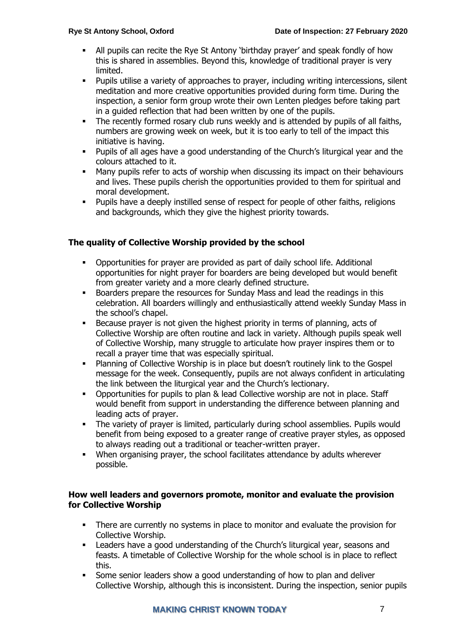- All pupils can recite the Rye St Antony 'birthday prayer' and speak fondly of how this is shared in assemblies. Beyond this, knowledge of traditional prayer is very limited.
- Pupils utilise a variety of approaches to prayer, including writing intercessions, silent meditation and more creative opportunities provided during form time. During the inspection, a senior form group wrote their own Lenten pledges before taking part in a guided reflection that had been written by one of the pupils.
- **•** The recently formed rosary club runs weekly and is attended by pupils of all faiths, numbers are growing week on week, but it is too early to tell of the impact this initiative is having.
- Pupils of all ages have a good understanding of the Church's liturgical year and the colours attached to it.
- Many pupils refer to acts of worship when discussing its impact on their behaviours and lives. These pupils cherish the opportunities provided to them for spiritual and moral development.
- Pupils have a deeply instilled sense of respect for people of other faiths, religions and backgrounds, which they give the highest priority towards.

# **The quality of Collective Worship provided by the school**

- Opportunities for prayer are provided as part of daily school life. Additional opportunities for night prayer for boarders are being developed but would benefit from greater variety and a more clearly defined structure.
- Boarders prepare the resources for Sunday Mass and lead the readings in this celebration. All boarders willingly and enthusiastically attend weekly Sunday Mass in the school's chapel.
- Because prayer is not given the highest priority in terms of planning, acts of Collective Worship are often routine and lack in variety. Although pupils speak well of Collective Worship, many struggle to articulate how prayer inspires them or to recall a prayer time that was especially spiritual.
- Planning of Collective Worship is in place but doesn't routinely link to the Gospel message for the week. Consequently, pupils are not always confident in articulating the link between the liturgical year and the Church's lectionary.
- Opportunities for pupils to plan & lead Collective worship are not in place. Staff would benefit from support in understanding the difference between planning and leading acts of prayer.
- **•** The variety of prayer is limited, particularly during school assemblies. Pupils would benefit from being exposed to a greater range of creative prayer styles, as opposed to always reading out a traditional or teacher-written prayer.
- When organising prayer, the school facilitates attendance by adults wherever possible.

# **How well leaders and governors promote, monitor and evaluate the provision for Collective Worship**

- There are currently no systems in place to monitor and evaluate the provision for Collective Worship.
- Leaders have a good understanding of the Church's liturgical year, seasons and feasts. A timetable of Collective Worship for the whole school is in place to reflect this.
- Some senior leaders show a good understanding of how to plan and deliver Collective Worship, although this is inconsistent. During the inspection, senior pupils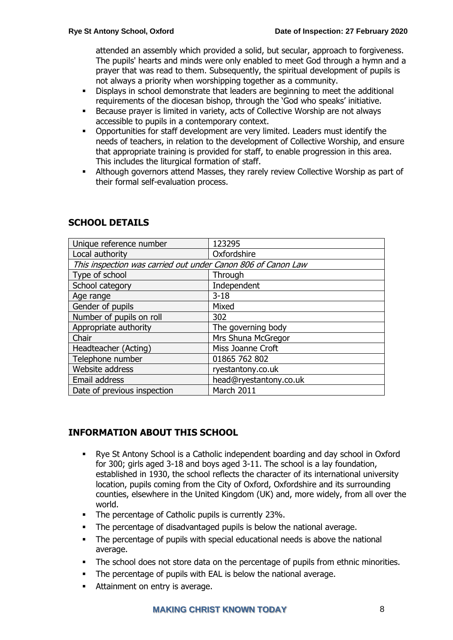attended an assembly which provided a solid, but secular, approach to forgiveness. The pupils' hearts and minds were only enabled to meet God through a hymn and a prayer that was read to them. Subsequently, the spiritual development of pupils is not always a priority when worshipping together as a community.

- Displays in school demonstrate that leaders are beginning to meet the additional requirements of the diocesan bishop, through the 'God who speaks' initiative.
- Because prayer is limited in variety, acts of Collective Worship are not always accessible to pupils in a contemporary context.
- Opportunities for staff development are very limited. Leaders must identify the needs of teachers, in relation to the development of Collective Worship, and ensure that appropriate training is provided for staff, to enable progression in this area. This includes the liturgical formation of staff.
- **EXECT** Although governors attend Masses, they rarely review Collective Worship as part of their formal self-evaluation process.

| Unique reference number                                      | 123295                 |  |
|--------------------------------------------------------------|------------------------|--|
| Local authority                                              | Oxfordshire            |  |
| This inspection was carried out under Canon 806 of Canon Law |                        |  |
| Type of school                                               | Through                |  |
| School category                                              | Independent            |  |
| Age range                                                    | $3 - 18$               |  |
| Gender of pupils                                             | Mixed                  |  |
| Number of pupils on roll                                     | 302                    |  |
| Appropriate authority                                        | The governing body     |  |
| Chair                                                        | Mrs Shuna McGregor     |  |
| Headteacher (Acting)                                         | Miss Joanne Croft      |  |
| Telephone number                                             | 01865 762 802          |  |
| Website address                                              | ryestantony.co.uk      |  |
| Email address                                                | head@ryestantony.co.uk |  |
| Date of previous inspection                                  | March 2011             |  |

# **SCHOOL DETAILS**

# **INFORMATION ABOUT THIS SCHOOL**

- Rye St Antony School is a Catholic independent boarding and day school in Oxford for 300; girls aged 3-18 and boys aged 3-11. The school is a lay foundation, established in 1930, the school reflects the character of its international university location, pupils coming from the City of Oxford, Oxfordshire and its surrounding counties, elsewhere in the United Kingdom (UK) and, more widely, from all over the world.
- The percentage of Catholic pupils is currently 23%.
- The percentage of disadvantaged pupils is below the national average.
- The percentage of pupils with special educational needs is above the national average.
- **•** The school does not store data on the percentage of pupils from ethnic minorities.
- The percentage of pupils with EAL is below the national average.
- Attainment on entry is average.